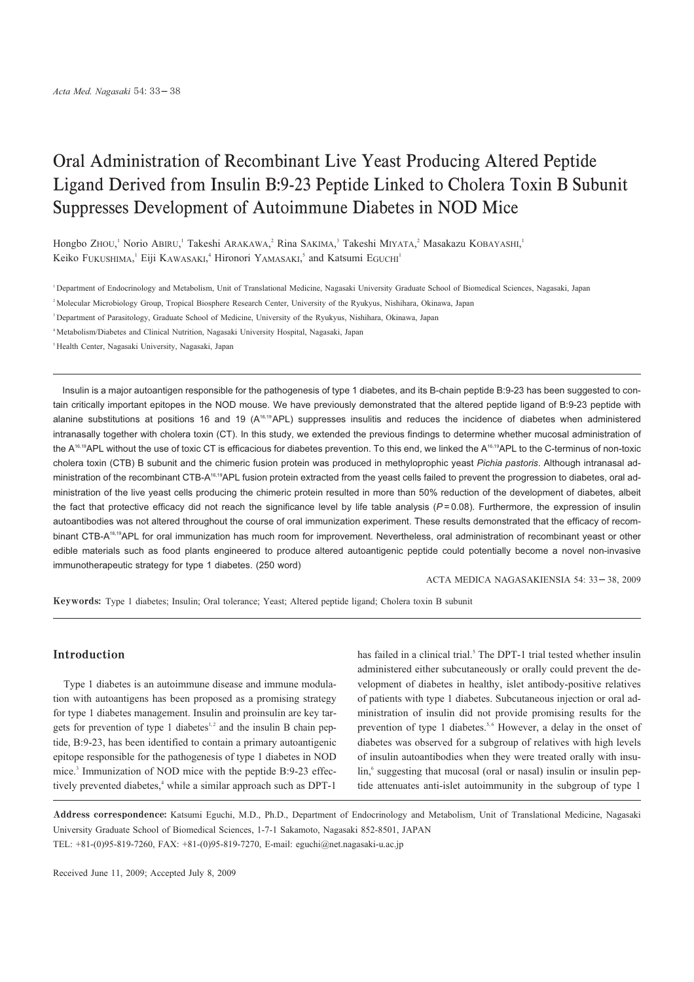# Oral Administration of Recombinant Live Yeast Producing Altered Peptide Ligand Derived from Insulin B:9-23 Peptide Linked to Cholera Toxin B Subunit Suppresses Development of Autoimmune Diabetes in NOD Mice

Hongbo ZHOU,<sup>1</sup> Norio ABIRU,<sup>1</sup> Takeshi ARAKAWA,<sup>2</sup> Rina SAKIMA,<sup>3</sup> Takeshi MIYATA,<sup>2</sup> Masakazu KOBAYASHI,<sup>1</sup> Keiko FUKUSHIMA,<sup>1</sup> Eiji KAWASAKI,<sup>4</sup> Hironori YAMASAKI,<sup>5</sup> and Katsumi EGUCHI<sup>1</sup>

<sup>1</sup> Department of Endocrinology and Metabolism, Unit of Translational Medicine, Nagasaki University Graduate School of Biomedical Sciences, Nagasaki, Japan

<sup>2</sup> Molecular Microbiology Group, Tropical Biosphere Research Center, University of the Ryukyus, Nishihara, Okinawa, Japan

<sup>3</sup> Department of Parasitology, Graduate School of Medicine, University of the Ryukyus, Nishihara, Okinawa, Japan

<sup>4</sup> Metabolism/Diabetes and Clinical Nutrition, Nagasaki University Hospital, Nagasaki, Japan

<sup>5</sup> Health Center, Nagasaki University, Nagasaki, Japan

Insulin is a major autoantigen responsible for the pathogenesis of type 1 diabetes, and its B-chain peptide B:9-23 has been suggested to contain critically important epitopes in the NOD mouse. We have previously demonstrated that the altered peptide ligand of B:9-23 peptide with alanine substitutions at positions 16 and 19 (A<sup>16,19</sup>APL) suppresses insulitis and reduces the incidence of diabetes when administered intranasally together with cholera toxin (CT). In this study, we extended the previous findings to determine whether mucosal administration of the A<sup>16,19</sup>APL without the use of toxic CT is efficacious for diabetes prevention. To this end, we linked the A<sup>16,19</sup>APL to the C-terminus of non-toxic cholera toxin (CTB) B subunit and the chimeric fusion protein was produced in methyloprophic yeast Pichia pastoris. Although intranasal administration of the recombinant CTB-A<sup>16,19</sup>APL fusion protein extracted from the yeast cells failed to prevent the progression to diabetes, oral administration of the live yeast cells producing the chimeric protein resulted in more than 50% reduction of the development of diabetes, albeit the fact that protective efficacy did not reach the significance level by life table analysis  $(P=0.08)$ . Furthermore, the expression of insulin autoantibodies was not altered throughout the course of oral immunization experiment. These results demonstrated that the efficacy of recombinant CTB-A<sup>16,19</sup>APL for oral immunization has much room for improvement. Nevertheless, oral administration of recombinant yeast or other edible materials such as food plants engineered to produce altered autoantigenic peptide could potentially become a novel non-invasive immunotherapeutic strategy for type 1 diabetes. (250 word)

ACTA MEDICA NAGASAKIENSIA 54: 33 38, 2009

Keywords: Type 1 diabetes; Insulin; Oral tolerance; Yeast; Altered peptide ligand; Cholera toxin B subunit

#### **Introduction**

Type 1 diabetes is an autoimmune disease and immune modulation with autoantigens has been proposed as a promising strategy for type 1 diabetes management. Insulin and proinsulin are key targets for prevention of type 1 diabetes<sup>1,2</sup> and the insulin B chain peptide, B:9-23, has been identified to contain a primary autoantigenic epitope responsible for the pathogenesis of type 1 diabetes in NOD mice.<sup>3</sup> Immunization of NOD mice with the peptide B:9-23 effectively prevented diabetes,<sup>4</sup> while a similar approach such as DPT-1

has failed in a clinical trial.<sup>5</sup> The DPT-1 trial tested whether insulin administered either subcutaneously or orally could prevent the development of diabetes in healthy, islet antibody-positive relatives of patients with type 1 diabetes. Subcutaneous injection or oral administration of insulin did not provide promising results for the prevention of type 1 diabetes.<sup>5,6</sup> However, a delay in the onset of diabetes was observed for a subgroup of relatives with high levels of insulin autoantibodies when they were treated orally with insulin,<sup>6</sup> suggesting that mucosal (oral or nasal) insulin or insulin peptide attenuates anti-islet autoimmunity in the subgroup of type 1

Address correspondence: Katsumi Eguchi, M.D., Ph.D., Department of Endocrinology and Metabolism, Unit of Translational Medicine, Nagasaki University Graduate School of Biomedical Sciences, 1-7-1 Sakamoto, Nagasaki 852-8501, JAPAN TEL: +81-(0)95-819-7260, FAX: +81-(0)95-819-7270, E-mail: eguchi@net.nagasaki-u.ac.jp

Received June 11, 2009; Accepted July 8, 2009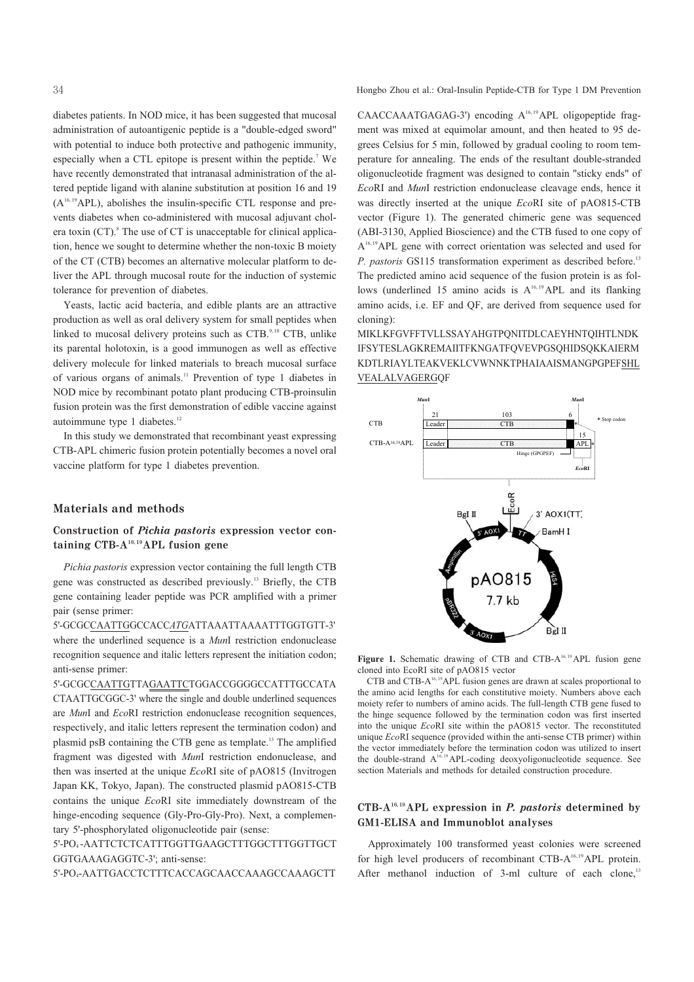diabetes patients. In NOD mice, it has been suggested that mucosal administration of autoantigenic peptide is a "double-edged sword" with potential to induce both protective and pathogenic immunity, especially when a CTL epitope is present within the peptide.<sup>7</sup> We have recently demonstrated that intranasal administration of the altered peptide ligand with alanine substitution at position 16 and 19  $(A<sup>16,19</sup>APL)$ , abolishes the insulin-specific CTL response and prevents diabetes when co-administered with mucosal adjuvant cholera toxin  $(CT)$ . The use of CT is unacceptable for clinical application, hence we sought to determine whether the non-toxic B moiety of the CT (CTB) becomes an alternative molecular platform to deliver the APL through mucosal route for the induction of systemic tolerance for prevention of diabetes.

Yeasts, lactic acid bacteria, and edible plants are an attractive production as well as oral delivery system for small peptides when linked to mucosal delivery proteins such as CTB.<sup>9,10</sup> CTB, unlike its parental holotoxin, is a good immunogen as well as effective delivery molecule for linked materials to breach mucosal surface of various organs of animals.<sup>11</sup> Prevention of type 1 diabetes in NOD mice by recombinant potato plant producing CTB-proinsulin fusion protein was the first demonstration of edible vaccine against autoimmune type 1 diabetes.<sup>12</sup>

In this study we demonstrated that recombinant yeast expressing CTB-APL chimeric fusion protein potentially becomes a novel oral vaccine platform for type 1 diabetes prevention.

## **Materials and methods**

# Construction of *Pichia pastoris* expression vector containing  $CTB-A^{16,19}APL$  fusion gene

Pichia pastoris expression vector containing the full length CTB gene was constructed as described previously.<sup>13</sup> Briefly, the CTB gene containing leader peptide was PCR amplified with a primer pair (sense primer:

5'-GCGCCAATTGGCCACCATGATTAAATTAAAATTTGGTGTT-3' where the underlined sequence is a MunI restriction endonuclease recognition sequence and italic letters represent the initiation codon; anti-sense primer:

5'-GCGCCAATTGTTAGAATTCTGGACCGGGGCCATTTGCCATA CTAATTGCGGC-3' where the single and double underlined sequences are MunI and EcoRI restriction endonuclease recognition sequences, respectively, and italic letters represent the termination codon) and plasmid psB containing the CTB gene as template.<sup>13</sup> The amplified fragment was digested with MunI restriction endonuclease, and then was inserted at the unique EcoRI site of pAO815 (Invitrogen Japan KK, Tokyo, Japan). The constructed plasmid pAO815-CTB contains the unique EcoRI site immediately downstream of the hinge-encoding sequence (Gly-Pro-Gly-Pro). Next, a complementary 5'-phosphorylated oligonucleotide pair (sense:

5'-PO4-AATTCTCTCATTTGGTTGAAGCTTTGGCTTTGGTTGCT GGTGAAAGAGGTC-3'; anti-sense:

5'-PO<sub>4</sub>-AATTGACCTCTTTCACCAGCAACCAAAGCCAAAGCTT

Hongbo Zhou et al.: Oral-Insulin Peptide-CTB for Type 1 DM Prevention

CAACCAAATGAGAG-3') encoding A<sup>16,19</sup>APL oligopeptide fragment was mixed at equimolar amount, and then heated to 95 degrees Celsius for 5 min, followed by gradual cooling to room temperature for annealing. The ends of the resultant double-stranded oligonucleotide fragment was designed to contain "sticky ends" of EcoRI and MunI restriction endonuclease cleavage ends, hence it was directly inserted at the unique EcoRI site of pAO815-CTB vector (Figure 1). The generated chimeric gene was sequenced (ABI-3130, Applied Bioscience) and the CTB fused to one copy of  $A^{16,19}$ APL gene with correct orientation was selected and used for P. pastoris GS115 transformation experiment as described before.<sup>13</sup> The predicted amino acid sequence of the fusion protein is as follows (underlined 15 amino acids is  $A^{16,19}$  APL and its flanking amino acids, i.e. EF and QF, are derived from sequence used for cloning):

MIKLKFGVFFTVLLSSAYAHGTPONITDLCAEYHNTOIHTLNDK **IFSYTESLAGKREMAIITFKNGATFQVEVPGSQHIDSQKKAIERM** KDTLRIAYLTEAKVEKLCVWNNKTPHAIAAISMANGPGPEFSHL VEALALVAGERGQF



Figure 1. Schematic drawing of CTB and CTB-A<sup>16,19</sup> APL fusion gene cloned into EcoRI site of pAO815 vector

CTB and CTB-A<sup>16,19</sup>APL fusion genes are drawn at scales proportional to the amino acid lengths for each constitutive moiety. Numbers above each moiety refer to numbers of amino acids. The full-length CTB gene fused to the hinge sequence followed by the termination codon was first inserted into the unique EcoRI site within the pAO815 vector. The reconstituted unique *EcoRI* sequence (provided within the anti-sense CTB primer) within the vector immediately before the termination codon was utilized to insert the double-strand A<sup>16,19</sup> APL-coding deoxyoligonucleotide sequence. See section Materials and methods for detailed construction procedure.

# $CTB-A^{16,19}APL$  expression in *P. pastoris* determined by **GM1-ELISA and Immunoblot analyses**

Approximately 100 transformed yeast colonies were screened for high level producers of recombinant CTB-A<sup>16,19</sup>APL protein. After methanol induction of 3-ml culture of each clone,<sup>13</sup>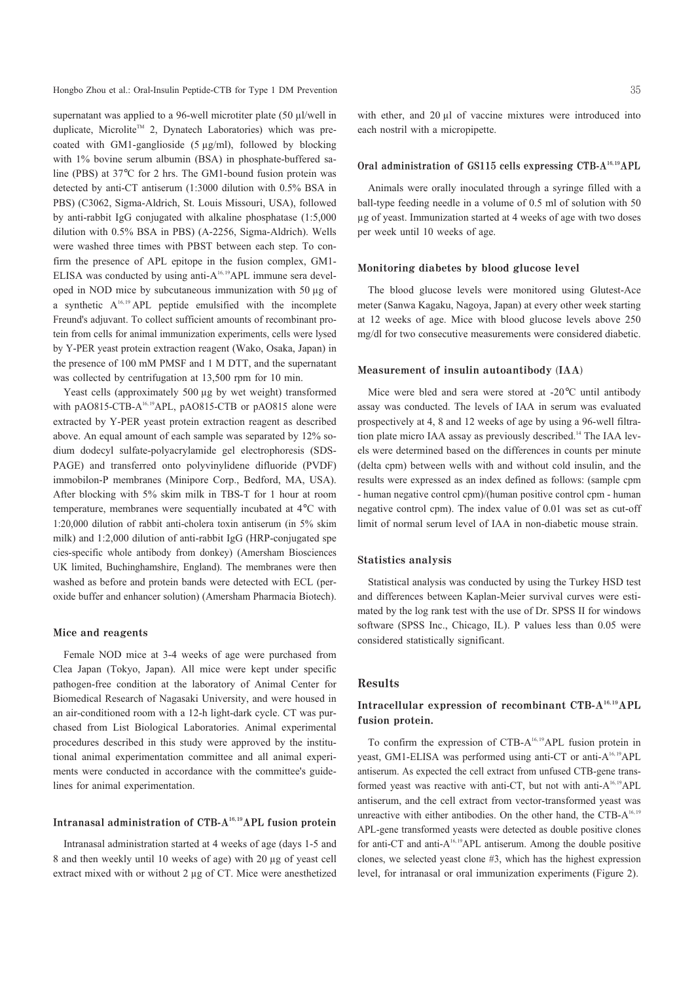Hongbo Zhou et al.: Oral-Insulin Peptide-CTB for Type 1 DM Prevention

supernatant was applied to a 96-well microtiter plate (50 µl/well in duplicate, Microlite™ 2, Dynatech Laboratories) which was precoated with GM1-ganglioside  $(5 \mu g/ml)$ , followed by blocking with 1% bovine serum albumin (BSA) in phosphate-buffered saline (PBS) at 37°C for 2 hrs. The GM1-bound fusion protein was detected by anti-CT antiserum (1:3000 dilution with 0.5% BSA in PBS) (C3062, Sigma-Aldrich, St. Louis Missouri, USA), followed by anti-rabbit IgG conjugated with alkaline phosphatase (1:5,000 dilution with 0.5% BSA in PBS) (A-2256, Sigma-Aldrich). Wells were washed three times with PBST between each step. To confirm the presence of APL epitope in the fusion complex, GM1-ELISA was conducted by using anti-A<sup>16,19</sup>APL immune sera developed in NOD mice by subcutaneous immunization with 50 µg of a synthetic  $A^{16,19}$  APL peptide emulsified with the incomplete Freund's adjuvant. To collect sufficient amounts of recombinant protein from cells for animal immunization experiments, cells were lysed by Y-PER yeast protein extraction reagent (Wako, Osaka, Japan) in the presence of 100 mM PMSF and 1 M DTT, and the supernatant was collected by centrifugation at 13,500 rpm for 10 min.

Yeast cells (approximately 500 µg by wet weight) transformed with pAO815-CTB-A<sup>16,19</sup>APL, pAO815-CTB or pAO815 alone were extracted by Y-PER yeast protein extraction reagent as described above. An equal amount of each sample was separated by 12% sodium dodecyl sulfate-polyacrylamide gel electrophoresis (SDS-PAGE) and transferred onto polyvinylidene difluoride (PVDF) immobilon-P membranes (Minipore Corp., Bedford, MA, USA). After blocking with 5% skim milk in TBS-T for 1 hour at room temperature, membranes were sequentially incubated at 4°C with 1:20,000 dilution of rabbit anti-cholera toxin antiserum (in 5% skim milk) and 1:2,000 dilution of anti-rabbit IgG (HRP-conjugated spe cies-specific whole antibody from donkey) (Amersham Biosciences UK limited, Buchinghamshire, England). The membranes were then washed as before and protein bands were detected with ECL (peroxide buffer and enhancer solution) (Amersham Pharmacia Biotech).

### Mice and reagents

Female NOD mice at 3-4 weeks of age were purchased from Clea Japan (Tokyo, Japan). All mice were kept under specific pathogen-free condition at the laboratory of Animal Center for Biomedical Research of Nagasaki University, and were housed in an air-conditioned room with a 12-h light-dark cycle. CT was purchased from List Biological Laboratories. Animal experimental procedures described in this study were approved by the institutional animal experimentation committee and all animal experiments were conducted in accordance with the committee's guidelines for animal experimentation.

## Intranasal administration of CTB-A<sup>16,19</sup>APL fusion protein

Intranasal administration started at 4 weeks of age (days 1-5 and 8 and then weekly until 10 weeks of age) with 20 µg of yeast cell extract mixed with or without 2 µg of CT. Mice were anesthetized

with ether, and 20 µl of vaccine mixtures were introduced into each nostril with a micropipette.

#### Oral administration of GS115 cells expressing CTB-A<sup>16,19</sup>APL

Animals were orally inoculated through a syringe filled with a ball-type feeding needle in a volume of 0.5 ml of solution with 50 µg of yeast. Immunization started at 4 weeks of age with two doses per week until 10 weeks of age.

#### Monitoring diabetes by blood glucose level

The blood glucose levels were monitored using Glutest-Ace meter (Sanwa Kagaku, Nagoya, Japan) at every other week starting at 12 weeks of age. Mice with blood glucose levels above 250 mg/dl for two consecutive measurements were considered diabetic.

#### Measurement of insulin autoantibody (IAA)

Mice were bled and sera were stored at -20°C until antibody assay was conducted. The levels of IAA in serum was evaluated prospectively at 4, 8 and 12 weeks of age by using a 96-well filtration plate micro IAA assay as previously described.<sup>14</sup> The IAA levels were determined based on the differences in counts per minute (delta cpm) between wells with and without cold insulin, and the results were expressed as an index defined as follows: (sample cpm - human negative control cpm)/(human positive control cpm - human negative control cpm). The index value of 0.01 was set as cut-off limit of normal serum level of IAA in non-diabetic mouse strain.

#### **Statistics analysis**

Statistical analysis was conducted by using the Turkey HSD test and differences between Kaplan-Meier survival curves were estimated by the log rank test with the use of Dr. SPSS II for windows software (SPSS Inc., Chicago, IL). P values less than 0.05 were considered statistically significant.

## **Results**

# Intracellular expression of recombinant CTB-A<sup>16,19</sup>APL fusion protein.

To confirm the expression of CTB-A<sup>16,19</sup>APL fusion protein in yeast, GM1-ELISA was performed using anti-CT or anti-A<sup>16,19</sup>APL antiserum. As expected the cell extract from unfused CTB-gene transformed yeast was reactive with anti-CT, but not with anti-A<sup>16,19</sup>APL antiserum, and the cell extract from vector-transformed yeast was unreactive with either antibodies. On the other hand, the CTB-A<sup>16,19</sup> APL-gene transformed yeasts were detected as double positive clones for anti-CT and anti- $A^{16,19}$ APL antiserum. Among the double positive clones, we selected yeast clone #3, which has the highest expression level, for intranasal or oral immunization experiments (Figure 2).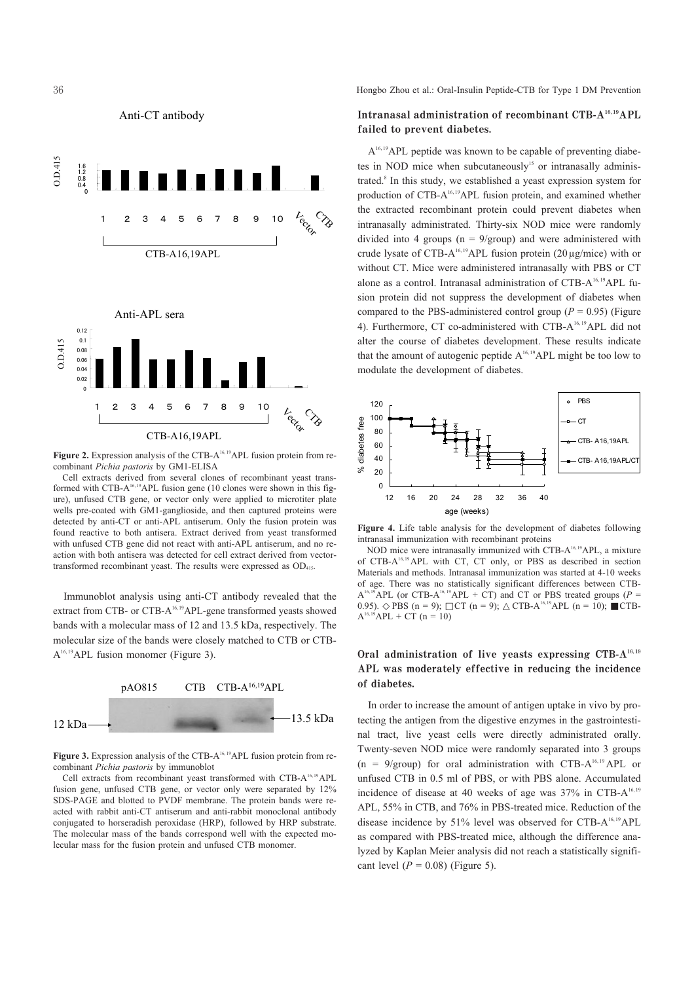

Figure 2. Expression analysis of the CTB-A<sup>16,19</sup>APL fusion protein from recombinant Pichia pastoris by GM1-ELISA

Cell extracts derived from several clones of recombinant yeast transformed with CTB-A<sup>16,19</sup>APL fusion gene (10 clones were shown in this figure), unfused CTB gene, or vector only were applied to microtiter plate wells pre-coated with GM1-ganglioside, and then captured proteins were detected by anti-CT or anti-APL antiserum. Only the fusion protein was found reactive to both antisera. Extract derived from yeast transformed with unfused CTB gene did not react with anti-APL antiserum, and no reaction with both antisera was detected for cell extract derived from vectortransformed recombinant yeast. The results were expressed as OD<sub>415</sub>.

Immunoblot analysis using anti-CT antibody revealed that the extract from CTB- or CTB-A<sup>16,19</sup>APL-gene transformed yeasts showed bands with a molecular mass of 12 and 13.5 kDa, respectively. The molecular size of the bands were closely matched to CTB or CTB- $A^{16,19}$ APL fusion monomer (Figure 3).



Figure 3. Expression analysis of the CTB- $A<sup>16,19</sup>APL$  fusion protein from recombinant Pichia pastoris by immunoblot

Cell extracts from recombinant yeast transformed with CTB-A<sup>16,19</sup>APL fusion gene unfused CTB gene or vector only were separated by 12% SDS-PAGE and blotted to PVDF membrane. The protein bands were reacted with rabbit anti-CT antiserum and anti-rabbit monoclonal antibody conjugated to horseradish peroxidase (HRP), followed by HRP substrate. The molecular mass of the bands correspond well with the expected molecular mass for the fusion protein and unfused CTB monomer.

Hongbo Zhou et al.: Oral-Insulin Peptide-CTB for Type 1 DM Prevention

# Intranasal administration of recombinant CTB-A<sup>16,19</sup>APL failed to prevent diabetes.

 $A<sup>16,19</sup> APL$  peptide was known to be capable of preventing diabetes in NOD mice when subcutaneously<sup>15</sup> or intranasally administrated.<sup>8</sup> In this study, we established a yeast expression system for production of CTB-A<sup>16,19</sup>APL fusion protein, and examined whether the extracted recombinant protein could prevent diabetes when intranasally administrated. Thirty-six NOD mice were randomly divided into 4 groups  $(n = 9/\text{group})$  and were administered with crude lysate of CTB-A<sup>16,19</sup>APL fusion protein (20  $\mu$ g/mice) with or without CT. Mice were administered intranasally with PBS or CT alone as a control. Intranasal administration of CTB-A<sup>16,19</sup>APL fusion protein did not suppress the development of diabetes when compared to the PBS-administered control group ( $P = 0.95$ ) (Figure 4). Furthermore, CT co-administered with CTB-A<sup>16,19</sup>APL did not alter the course of diabetes development. These results indicate that the amount of autogenic peptide A<sup>16,19</sup>APL might be too low to modulate the development of diabetes.



Figure 4. Life table analysis for the development of diabetes following intranasal immunization with recombinant proteins

NOD mice were intranasally immunized with CTB-A<sup>16,19</sup>APL, a mixture of CTB-A<sup>16,19</sup> APL with CT, CT only, or PBS as described in section Materials and methods. Intranasal immunization was started at 4-10 weeks of age. There was no statistically significant differences between CTB- $A^{16,19}$ APL (or CTB-A<sup>16,19</sup>APL + CT) and CT or PBS treated groups (P = 0.95). PBS  $(n = 9)$ ; CT  $(n = 9)$ ; CTB-A<sup>16,19</sup>APL  $(n = 10)$ ; CTB- $A^{16,19}APL$  + CT (n = 10)

# Oral administration of live yeasts expressing CTB-A<sup>16,19</sup> APL was moderately effective in reducing the incidence of diabetes.

In order to increase the amount of antigen uptake in vivo by protecting the antigen from the digestive enzymes in the gastrointestinal tract, live yeast cells were directly administrated orally. Twenty-seven NOD mice were randomly separated into 3 groups  $(n = 9/\text{group})$  for oral administration with CTB-A<sup>16,19</sup> APL or unfused CTB in 0.5 ml of PBS, or with PBS alone. Accumulated incidence of disease at 40 weeks of age was 37% in CTB-A<sup>16,19</sup> APL, 55% in CTB, and 76% in PBS-treated mice. Reduction of the disease incidence by 51% level was observed for CTB-A<sup>16,19</sup>APL as compared with PBS-treated mice, although the difference analyzed by Kaplan Meier analysis did not reach a statistically significant level ( $P = 0.08$ ) (Figure 5).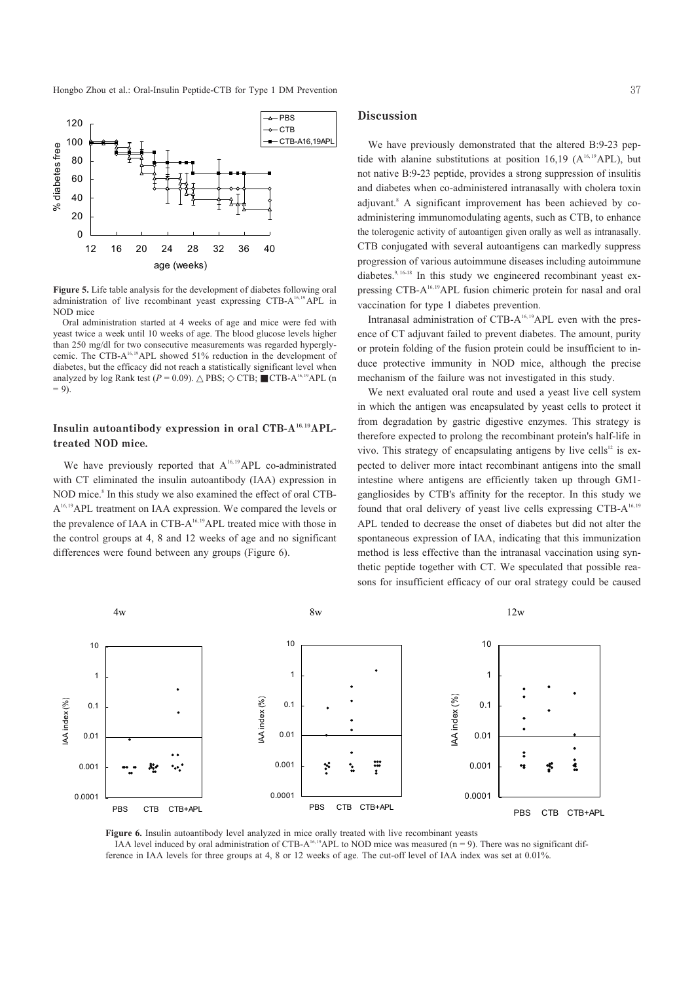Hongbo Zhou et al.: Oral-Insulin Peptide-CTB for Type 1 DM Prevention



Figure 5. Life table analysis for the development of diabetes following oral administration of live recombinant yeast expressing CTB-A<sup>16,19</sup> APL in NOD mice

Oral administration started at 4 weeks of age and mice were fed with yeast twice a week until 10 weeks of age. The blood glucose levels higher than 250 mg/dl for two consecutive measurements was regarded hyperglycemic. The CTB-A<sup>16,19</sup>APL showed 51% reduction in the development of diabetes, but the efficacy did not reach a statistically significant level when  $CTB-A^{16,19}APL$  (n analyzed by log Rank test  $(P = 0.09)$ . PBS; CTB;  $= 9$ ).

## Insulin autoantibody expression in oral CTB-A<sup>16,19</sup>APLtreated NOD mice.

We have previously reported that  $A^{16,19}APL$  co-administrated with CT eliminated the insulin autoantibody (IAA) expression in NOD mice.<sup>8</sup> In this study we also examined the effect of oral CTB-A<sup>16,19</sup>APL treatment on IAA expression. We compared the levels or the prevalence of IAA in CTB-A<sup>16,19</sup>APL treated mice with those in the control groups at 4, 8 and 12 weeks of age and no significant differences were found between any groups (Figure 6).

### **Discussion**

We have previously demonstrated that the altered B:9-23 peptide with alanine substitutions at position 16,19 ( $A^{16,19}$ APL), but not native B:9-23 peptide, provides a strong suppression of insulitis and diabetes when co-administered intranasally with cholera toxin adjuvant.<sup>8</sup> A significant improvement has been achieved by coadministering immunomodulating agents, such as CTB, to enhance the tolerogenic activity of autoantigen given orally as well as intranasally. CTB conjugated with several autoantigens can markedly suppress progression of various autoimmune diseases including autoimmune diabetes.<sup>9, 16-18</sup> In this study we engineered recombinant yeast expressing CTB-A<sup>16,19</sup>APL fusion chimeric protein for nasal and oral vaccination for type 1 diabetes prevention.

Intranasal administration of CTB-A<sup>16,19</sup>APL even with the presence of CT adjuvant failed to prevent diabetes. The amount, purity or protein folding of the fusion protein could be insufficient to induce protective immunity in NOD mice, although the precise mechanism of the failure was not investigated in this study.

We next evaluated oral route and used a yeast live cell system in which the antigen was encapsulated by yeast cells to protect it from degradation by gastric digestive enzymes. This strategy is therefore expected to prolong the recombinant protein's half-life in vivo. This strategy of encapsulating antigens by live cells<sup>12</sup> is expected to deliver more intact recombinant antigens into the small intestine where antigens are efficiently taken up through GM1gangliosides by CTB's affinity for the receptor. In this study we found that oral delivery of yeast live cells expressing CTB-A<sup>16,19</sup> APL tended to decrease the onset of diabetes but did not alter the spontaneous expression of IAA, indicating that this immunization method is less effective than the intranasal vaccination using synthetic peptide together with CT. We speculated that possible reasons for insufficient efficacy of our oral strategy could be caused



Figure 6. Insulin autoantibody level analyzed in mice orally treated with live recombinant yeasts

IAA level induced by oral administration of CTB-A<sup>16,19</sup>APL to NOD mice was measured ( $n = 9$ ). There was no significant difference in IAA levels for three groups at 4, 8 or 12 weeks of age. The cut-off level of IAA index was set at 0.01%.